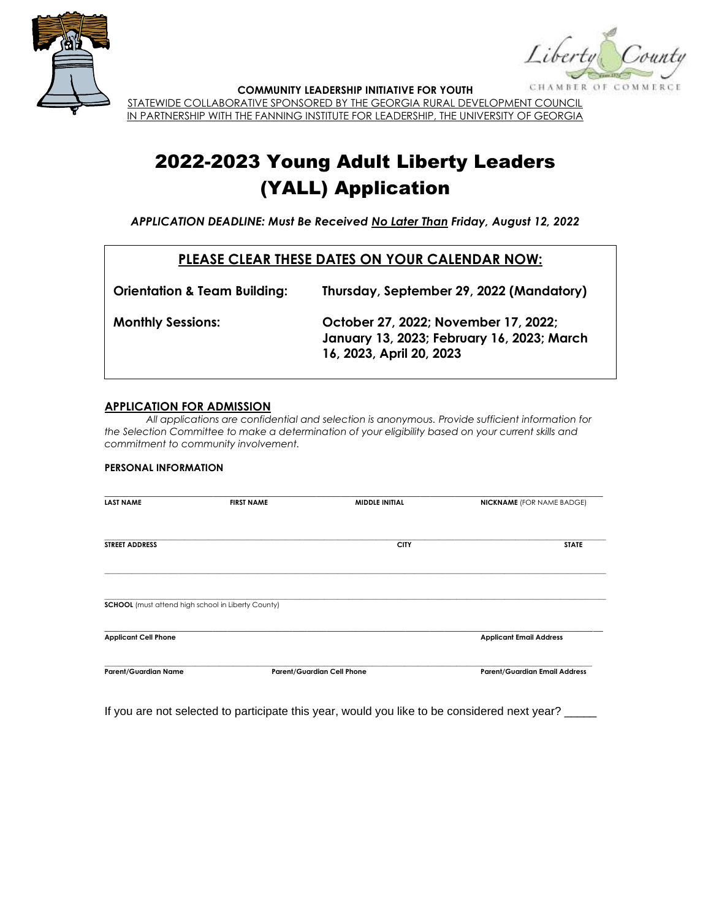

Liberty CHAMBER OF

**COMMUNITY LEADERSHIP INITIATIVE FOR YOUTH**

STATEWIDE COLLABORATIVE SPONSORED BY THE GEORGIA RURAL DEVELOPMENT COUNCIL IN PARTNERSHIP WITH THE FANNING INSTITUTE FOR LEADERSHIP, THE UNIVERSITY OF GEORGIA

# 2022-2023 Young Adult Liberty Leaders (YALL) Application

*APPLICATION DEADLINE: Must Be Received No Later Than Friday, August 12, 2022*

### **PLEASE CLEAR THESE DATES ON YOUR CALENDAR NOW:**

| <b>Orientation &amp; Team Building:</b> | Thursday, September 29, 2022 (Mandatory)                                                                       |
|-----------------------------------------|----------------------------------------------------------------------------------------------------------------|
| <b>Monthly Sessions:</b>                | October 27, 2022; November 17, 2022;<br>January 13, 2023; February 16, 2023; March<br>16, 2023, April 20, 2023 |

#### **APPLICATION FOR ADMISSION**

*All applications are confidential and selection is anonymous. Provide sufficient information for the Selection Committee to make a determination of your eligibility based on your current skills and commitment to community involvement.* 

#### **PERSONAL INFORMATION**

| <b>LAST NAME</b>                                          | <b>FIRST NAME</b> | <b>MIDDLE INITIAL</b>             | <b>NICKNAME</b> (FOR NAME BADGE)     |
|-----------------------------------------------------------|-------------------|-----------------------------------|--------------------------------------|
| <b>STREET ADDRESS</b>                                     |                   | <b>CITY</b>                       | <b>STATE</b>                         |
| <b>SCHOOL</b> (must attend high school in Liberty County) |                   |                                   |                                      |
| <b>Applicant Cell Phone</b>                               |                   | <b>Applicant Email Address</b>    |                                      |
| <b>Parent/Guardian Name</b>                               |                   | <b>Parent/Guardian Cell Phone</b> | <b>Parent/Guardian Email Address</b> |

If you are not selected to participate this year, would you like to be considered next year? \_\_\_\_\_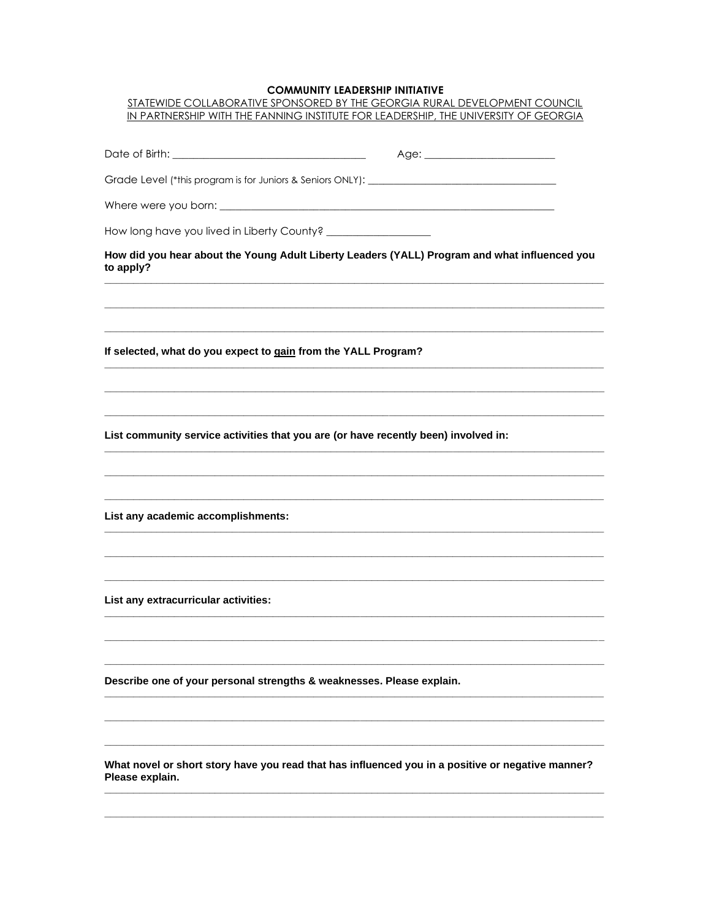#### COMMUNITY LEADERSHIP INITIATIVE

| COMMUNII I LEADERSHIF INIIIAIIVE<br>STATEWIDE COLLABORATIVE SPONSORED BY THE GEORGIA RURAL DEVELOPMENT COUNCIL<br>IN PARTNERSHIP WITH THE FANNING INSTITUTE FOR LEADERSHIP, THE UNIVERSITY OF GEORGIA |
|-------------------------------------------------------------------------------------------------------------------------------------------------------------------------------------------------------|
|                                                                                                                                                                                                       |
|                                                                                                                                                                                                       |
|                                                                                                                                                                                                       |
|                                                                                                                                                                                                       |
|                                                                                                                                                                                                       |
| How did you hear about the Young Adult Liberty Leaders (YALL) Program and what influenced you<br>to apply?                                                                                            |
|                                                                                                                                                                                                       |
| If selected, what do you expect to gain from the YALL Program?                                                                                                                                        |
|                                                                                                                                                                                                       |
| List community service activities that you are (or have recently been) involved in:                                                                                                                   |
|                                                                                                                                                                                                       |
| List any academic accomplishments:                                                                                                                                                                    |
|                                                                                                                                                                                                       |
|                                                                                                                                                                                                       |
| List any extracurricular activities:                                                                                                                                                                  |
|                                                                                                                                                                                                       |
| Describe one of your personal strengths & weaknesses. Please explain.                                                                                                                                 |
|                                                                                                                                                                                                       |
| What novel or short story have you read that has influenced you in a positive or negative manner?<br>Please explain.                                                                                  |
|                                                                                                                                                                                                       |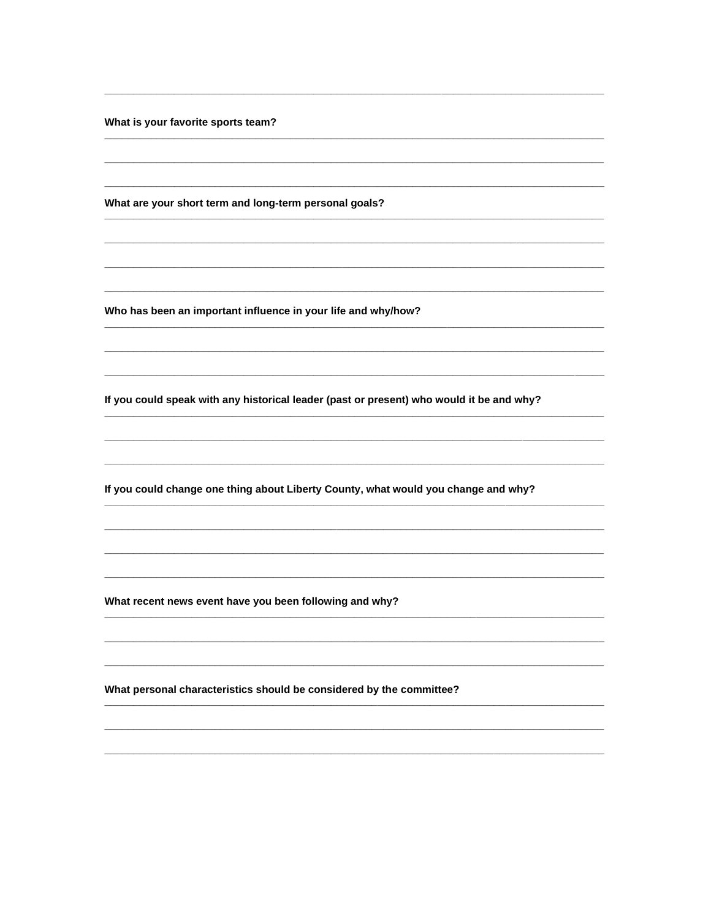What is your favorite sports team?

What are your short term and long-term personal goals?

Who has been an important influence in your life and why/how?

If you could speak with any historical leader (past or present) who would it be and why?

If you could change one thing about Liberty County, what would you change and why?

What recent news event have you been following and why?

What personal characteristics should be considered by the committee?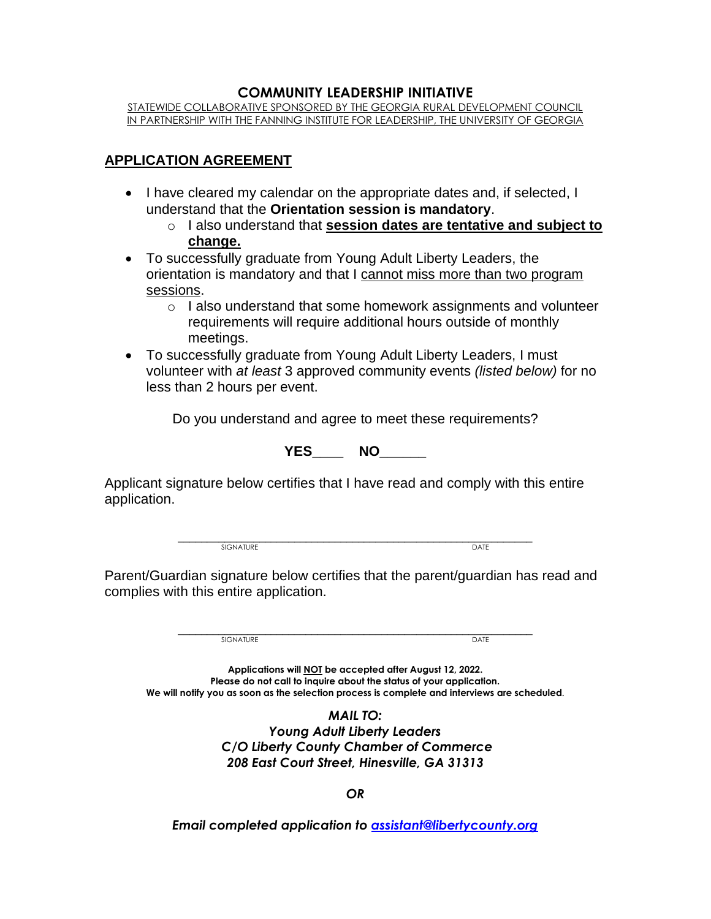### **COMMUNITY LEADERSHIP INITIATIVE**

STATEWIDE COLLABORATIVE SPONSORED BY THE GEORGIA RURAL DEVELOPMENT COUNCIL IN PARTNERSHIP WITH THE FANNING INSTITUTE FOR LEADERSHIP, THE UNIVERSITY OF GEORGIA

## **APPLICATION AGREEMENT**

- I have cleared my calendar on the appropriate dates and, if selected, I understand that the **Orientation session is mandatory**.
	- o I also understand that **session dates are tentative and subject to change.**
- To successfully graduate from Young Adult Liberty Leaders, the orientation is mandatory and that I cannot miss more than two program sessions.
	- o I also understand that some homework assignments and volunteer requirements will require additional hours outside of monthly meetings.
- To successfully graduate from Young Adult Liberty Leaders, I must volunteer with *at least* 3 approved community events *(listed below)* for no less than 2 hours per event.

Do you understand and agree to meet these requirements?

**YES\_\_\_\_ NO\_\_\_\_\_\_**

Applicant signature below certifies that I have read and comply with this entire application.

> \_\_\_\_\_\_\_\_\_\_\_\_\_\_\_\_\_\_\_\_\_\_\_\_\_\_\_\_\_\_\_\_\_\_\_\_\_\_\_\_\_\_\_\_\_\_\_\_\_\_\_\_\_\_\_\_\_\_\_\_\_ SIGNATURE **DATE**

Parent/Guardian signature below certifies that the parent/guardian has read and complies with this entire application.

> \_\_\_\_\_\_\_\_\_\_\_\_\_\_\_\_\_\_\_\_\_\_\_\_\_\_\_\_\_\_\_\_\_\_\_\_\_\_\_\_\_\_\_\_\_\_\_\_\_\_\_\_\_\_\_\_\_\_\_\_\_ SIGNATURE **DATE**

**Applications will NOT be accepted after August 12, 2022. Please do not call to inquire about the status of your application. We will notify you as soon as the selection process is complete and interviews are scheduled.**

> *MAIL TO: Young Adult Liberty Leaders C/O Liberty County Chamber of Commerce 208 East Court Street, Hinesville, GA 31313*

> > *OR*

*Email completed application to [assistant@libertycounty.org](mailto:assistant@libertycounty.org)*